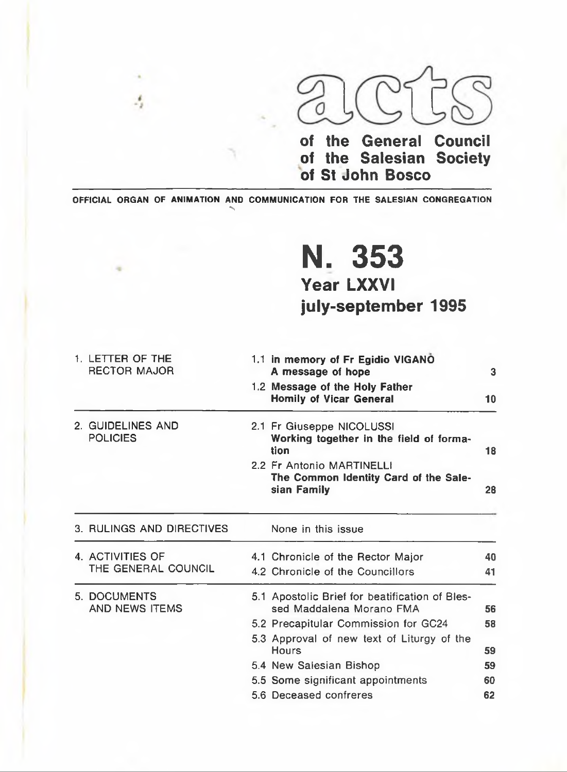

**of the General Council of the Salesian Society of St John Bosco**

OFFICIAL ORGAN OF ANIMATION AND COMMUNICATION FOR THE SALESIAN CONGREGATION

•s

Ą

### **N. 353 Year LXXVI** july-september 1995

|  | 1. LETTER OF THE<br><b>RECTOR MAJOR</b> | 1.1 in memory of Fr Egidio VIGANO<br>A message of hope                            | $\overline{\mathbf{3}}$ |
|--|-----------------------------------------|-----------------------------------------------------------------------------------|-------------------------|
|  |                                         | 1.2 Message of the Holy Father<br><b>Homily of Vicar General</b>                  | 10                      |
|  | 2. GUIDELINES AND<br><b>POLICIES</b>    | 2.1 Fr Giuseppe NICOLUSSI<br>Working together in the field of forma-<br>tion      | 18                      |
|  |                                         | 2.2 Fr Antonio MARTINELLI<br>The Common Identity Card of the Sale-<br>sian Family | 28                      |
|  | 3. RULINGS AND DIRECTIVES               | None in this issue                                                                |                         |
|  | 4. ACTIVITIES OF                        | 4.1 Chronicle of the Rector Major                                                 | 40                      |
|  | THE GENERAL COUNCIL                     | 4.2 Chronicle of the Councillors                                                  | 41                      |
|  | 5. DOCUMENTS<br>AND NEWS ITEMS          | 5.1 Apostolic Brief for beatification of Bles-<br>sed Maddalena Morano FMA        | 56                      |
|  |                                         | 5.2 Precapitular Commission for GC24                                              | 58                      |
|  |                                         | 5.3 Approval of new text of Liturgy of the<br>Hours                               | 59                      |
|  |                                         | 5.4 New Salesian Bishop                                                           | 59                      |
|  |                                         | 5.5 Some significant appointments                                                 | 60                      |
|  |                                         | 5.6 Deceased confreres                                                            | 62                      |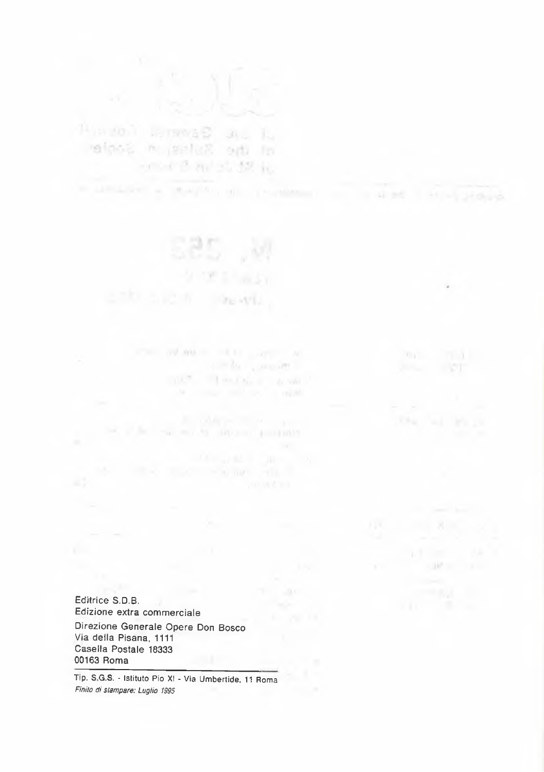reinsa n galag odi omed B and St. 12 in.

> or changes **DEATH**

and the committee. THE R. P. LEWIS CO., LANSING MICH.

**LIME** 

Editrice S.D.B. Edizione extra commerciale Direzione Generale Opere Don Bosco Via della Pisana, 1111 Casella Postale 18333 00163 Roma

Tip. S.G.S. - Istituto Pio XI - Via Umbertide, 11 Roma *Finito di stampare: Luglio 1995*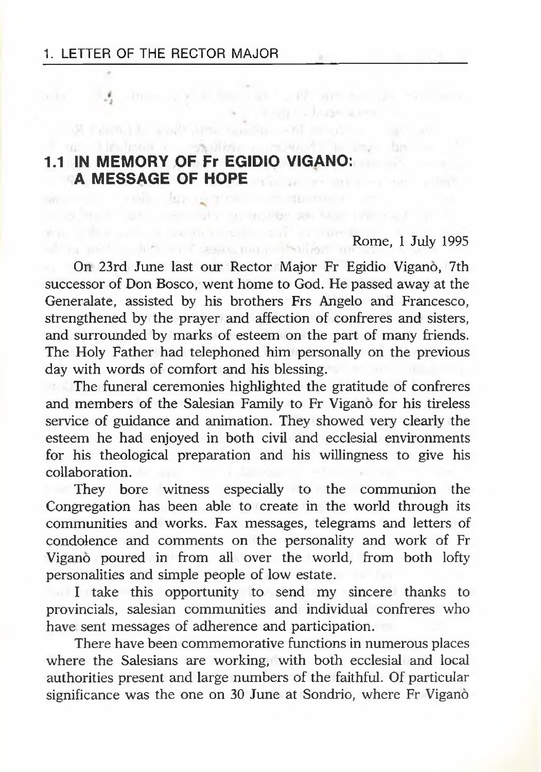# **1.1 IN MEMORY OF Fr EGIDIO VIGANO: A MESSAGE OF HOPE**

## Rome, 1 July 1995

On 23rd June last our Rector Major Fr Egidio Vigano, 7th successor of Don Bosco, went home to God. He passed away at the Generalate, assisted by his brothers Frs Angelo and Francesco, strengthened by the prayer and affection of confreres and sisters, and surrounded by marks of esteem on the part of many friends. The Holy Father had telephoned him personally on the previous day with words of comfort and his blessing.

when the other was a later as with an excellence a complete the contractor of the complete the complete the complete the complete the complete the complete the

ma life-brook a straighten construct in any far and

The funeral ceremonies highlighted the gratitude of confreres and members of the Salesian Family to Fr Vigano for his tireless service of guidance and animation. They showed very clearly the esteem he had enjoyed in both civil and ecclesial environments for his theological preparation and his willingness to give his collaboration.

They bore witness especially to the communion the Congregation has been able to create in the world through its communities and works. Fax messages, telegrams and letters of condolence and comments on the personality and work of Fr Vigano poured in from all over the world, from both lofty personalities and simple people of low estate.

I take this opportunity to send my sincere thanks to provincials, salesian communities and individual confreres who have sent messages of adherence and participation.

There have been commemorative functions in numerous places where the Salesians are working, with both ecclesial and local authorities present and large numbers of the faithful. Of particular significance was the one on 30 June at Sondrio, where Fr Vigano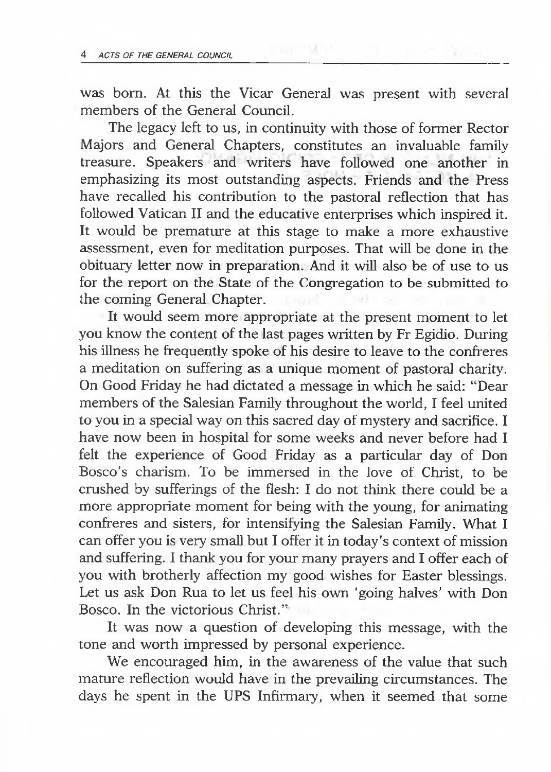was born. At this the Vicar General was present with several members of the General Council.

**COLLEGE META** 

The legacy left to us, in continuity with those of former Rector Majors and General Chapters, constitutes an invaluable family treasure. Speakers and writers have followed one another in emphasizing its most outstanding aspects. Friends and the Press have recalled his contribution to the pastoral reflection that has followed Vatican II and the educative enterprises which inspired it. It would be premature at this stage to make a more exhaustive assessment, even for meditation purposes. That will be done in the obituary letter now in preparation. And it will also be of use to us for the report on the State of the Congregation to be submitted to the coming General Chapter.

It would seem more appropriate at the present moment to let you know the content of the last pages written by Fr Egidio. During his illness he frequently spoke of his desire to leave to the confreres a meditation on suffering as a unique moment of pastoral charity. On Good Friday he had dictated a message in which he said: "Dear members of the Salesian Family throughout the world, I feel united to you in a special way on this sacred day of mystery and sacrifice. I have now been in hospital for some weeks and never before had I felt the experience of Good Friday as a particular day of Don Bosco's charism. To be immersed in the love of Christ, to be crushed by sufferings of the flesh: I do not think there could be a more appropriate moment for being with the young, for animating confreres and sisters, for intensifying the Salesian Family. What I can offer you is very small but I offer it in today's context of mission and suffering. I thank you for your many prayers and I offer each of you with brotherly affection my good wishes for Easter blessings. Let us ask Don Rua to let us feel his own 'going halves' with Don Bosco. In the victorious Christ."

It was now a question of developing this message, with the tone and worth impressed by personal experience.

We encouraged him, in the awareness of the value that such mature reflection would have in the prevailing circumstances. The days he spent in the UPS Infirmary, when it seemed that some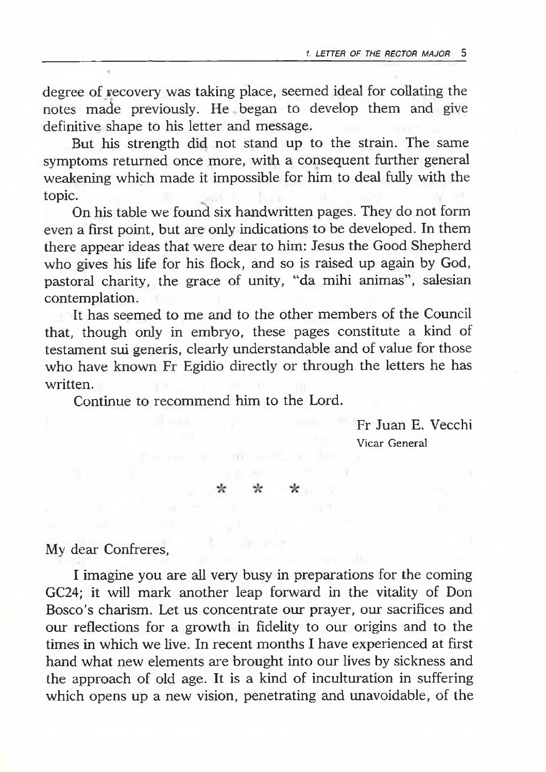degree of recovery was taking place, seemed ideal for collating the notes made previously. He began to develop them and give definitive shape to his letter and message.

But his strength did not stand up to the strain. The same symptoms returned once more, with a consequent further general weakening which made it impossible for him to deal fully with the topic.

On his table we found six handwritten pages. They do not form even a first point, but are only indications to be developed. In them there appear ideas that were dear to him: Jesus the Good Shepherd who gives his life for his flock, and so is raised up again by God, pastoral charity, the grace of unity, "da mihi animas", salesian contemplation.

It has seemed to me and to the other members of the Council that, though only in embryo, these pages constitute a kind of testament sui generis, clearly understandable and of value for those who have known Fr Egidio directly or through the letters he has written.

 $-301 - 100$ 

 $\star$ 

 $\star$ 

Continue to recommend him to the Lord.

☆

Fr Juan E. Vecchi Vicar General

My dear Confreres,

I imagine you are all very busy in preparations for the coming GC24; it will mark another leap forward in the vitality of Don Bosco's charism. Let us concentrate our prayer, our sacrifices and our reflections for a growth in fidelity to our origins and to the times in which we live. In recent months I have experienced at first hand what new elements are brought into our lives by sickness and the approach of old age. It is a kind of inculturation in suffering which opens up a new vision, penetrating and unavoidable, of the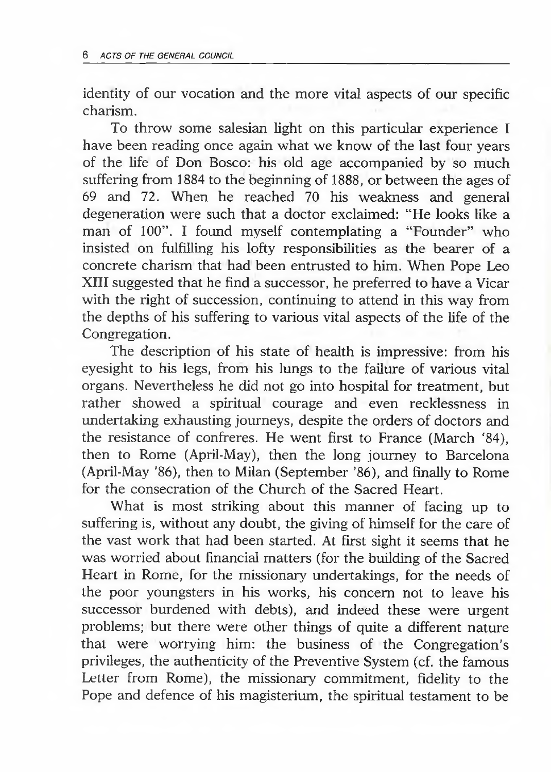identity of our vocation and the more vital aspects of our specific charism.

To throw some salesian light on this particular experience I have been reading once again what we know of the last four years of the life of Don Bosco: his old age accompanied by so much suffering from 1884 to the beginning of 1888, or between the ages of 69 and 72. When he reached 70 his weakness and general degeneration were such that a doctor exclaimed: "He looks like a man of 100". I found myself contemplating a "Founder" who insisted on fulfilling his lofty responsibilities as the bearer of a concrete charism that had been entrusted to him. When Pope Leo XIII suggested that he find a successor, he preferred to have a Vicar with the right of succession, continuing to attend in this way from the depths of his suffering to various vital aspects of the life of the Congregation.

The description of his state of health is impressive: from his eyesight to his legs, from his lungs to the failure of various vital organs. Nevertheless he did not go into hospital for treatment, but rather showed a spiritual courage and even recklessness in undertaking exhausting journeys, despite the orders of doctors and the resistance of confreres. He went first to France (March '84), then to Rome (April-May), then the long journey to Barcelona (April-May '86), then to Milan (September '86), and finally to Rome for the consecration of the Church of the Sacred Heart.

What is most striking about this manner of facing up to suffering is, without any doubt, the giving of himself for the care of the vast work that had been started. At first sight it seems that he was worried about financial matters (for the building of the Sacred Heart in Rome, for the missionary undertakings, for the needs of the poor youngsters in his works, his concern not to leave his successor burdened with debts), and indeed these were urgent problems; but there were other things of quite a different nature that were worrying him: the business of the Congregation's privileges, the authenticity of the Preventive System (cf. the famous Letter from Rome), the missionary commitment, fidelity to the Pope and defence of his magisterium, the spiritual testament to be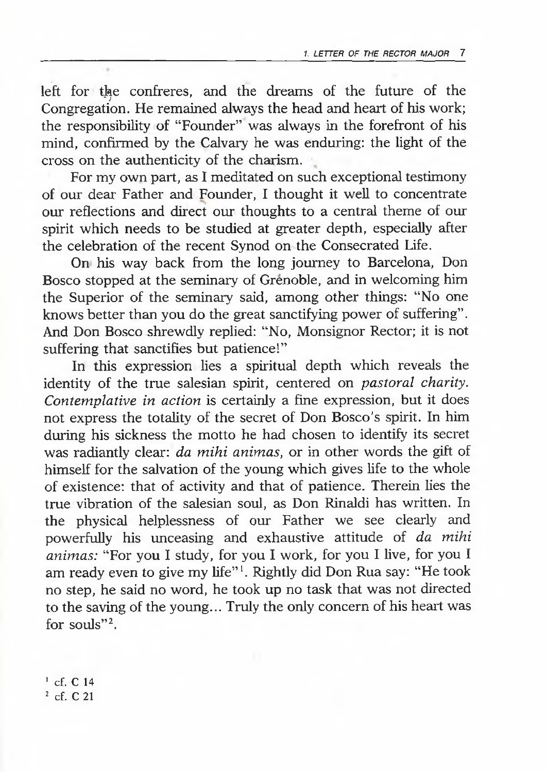left for the confreres, and the dreams of the future of the Congregation. He remained always the head and heart of his work; the responsibility of "Founder" was always in the forefront of his mind, confirmed by the Calvary he was enduring: the light of the cross on the authenticity of the charism.

 $\epsilon$ 

For my own part, as I meditated on such exceptional testimony of our dear Father and Founder, I thought it well to concentrate our reflections and direct our thoughts to a central theme of our spirit which needs to be studied at greater depth, especially after the celebration of the recent Synod on the Consecrated Life.

On his way back from the long journey to Barcelona, Don Bosco stopped at the seminary of Grenoble, and in welcoming him the Superior of the seminary said, among other things: "No one knows better than you do the great sanctifying power of suffering". And Don Bosco shrewdly replied: "No, Monsignor Rector; it is not suffering that sanctifies but patience!"

In this expression lies a spiritual depth which reveals the identity of the true salesian spirit, centered on *pastoral charity. Contemplative in action* is certainly a fine expression, but it does not express the totality of the secret of Don Bosco's spirit. In him during his sickness the motto he had chosen to identify its secret was radiantly clear: *da mihi animas,* or in other words the gift of himself for the salvation of the young which gives life to the whole of existence: that of activity and that of patience. Therein lies the true vibration of the salesian soul, as Don Rinaldi has written. In the physical helplessness of our Father we see clearly and powerfully his unceasing and exhaustive attitude of *da mihi animas:* "For you I study, for you I work, for you I live, for you I am ready even to give my life"1. Rightly did Don Rua say: "He took no step, he said no word, he took up no task that was not directed to the saving of the young... Truly the only concern of his heart was for souls"2.

<sup>1</sup> cf. C 14 <sup>2</sup> cf. C 21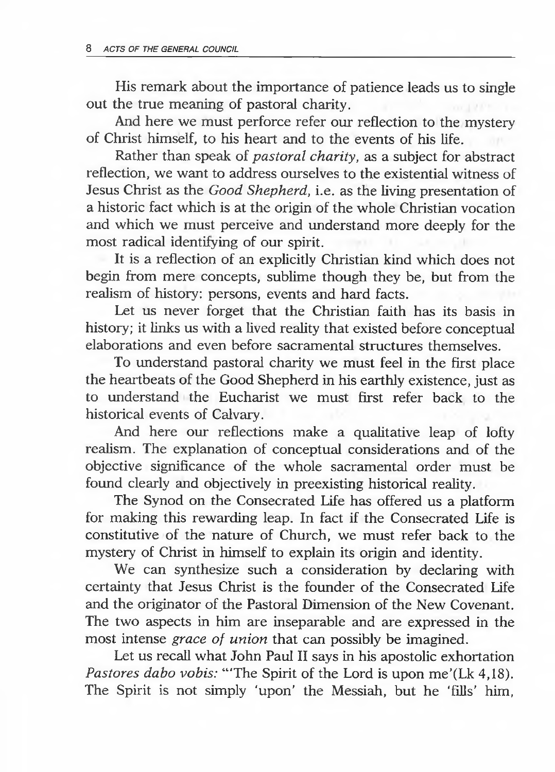His remark about the importance of patience leads us to single out the true meaning of pastoral charity.

And here we must perforce refer our reflection to the mystery of Christ himself, to his heart and to the events of his life.

Rather than speak of *pastoral charity,* as a subject for abstract reflection, we want to address ourselves to the existential witness of Jesus Christ as the *Good Shepherd,* i.e. as the living presentation of a historic fact which is at the origin of the whole Christian vocation and which we must perceive and understand more deeply for the most radical identifying of our spirit.

It is a reflection of an explicitly Christian kind which does not begin from mere concepts, sublime though they be, but from the realism of history: persons, events and hard facts.

Let us never forget that the Christian faith has its basis in history; it links us with a lived reality that existed before conceptual elaborations and even before sacramental structures themselves.

To understand pastoral charity we must feel in the first place the heartbeats of the Good Shepherd in his earthly existence, just as to understand the Eucharist we must first refer back to the historical events of Calvary.

And here our reflections make a qualitative leap of lofty realism. The explanation of conceptual considerations and of the objective significance of the whole sacramental order must be found clearly and objectively in preexisting historical reality.

The Synod on the Consecrated Life has offered us a platform for making this rewarding leap. In fact if the Consecrated Life is constitutive of the nature of Church, we must refer back to the mystery of Christ in himself to explain its origin and identity.

We can synthesize such a consideration by declaring with certainty that Jesus Christ is the founder of the Consecrated Life and the originator of the Pastoral Dimension of the New Covenant. The two aspects in him are inseparable and are expressed in the most intense *grace of union* that can possibly be imagined.

Let us recall what John Paul II says in his apostolic exhortation *Pastores dabo vobis:* "The Spirit of the Lord is upon me'(Lk 4,18). The Spirit is not simply 'upon' the Messiah, but he 'fills' him,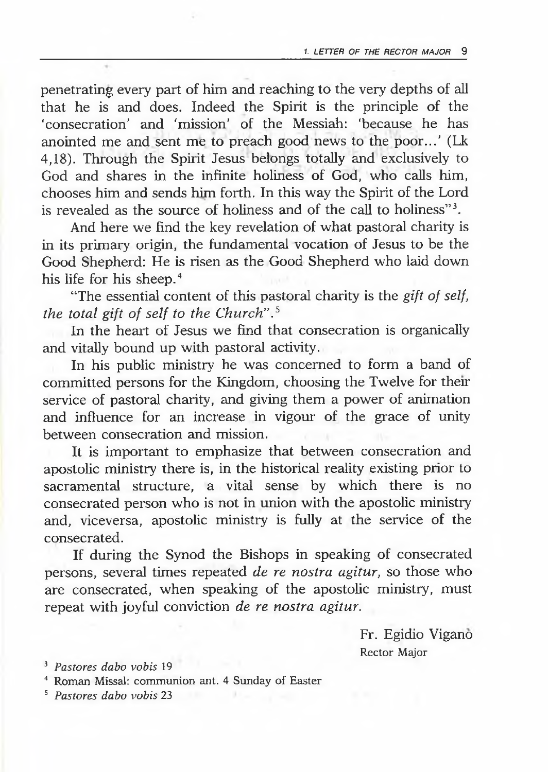penetrating every part of him and reaching to the very depths of all that he is and does. Indeed the Spirit is the principle of the 'consecration' and 'mission' of the Messiah: 'because he has anointed me and sent me to preach good news to the poor...' (Lk 4,18). Through the Spirit Jesus belongs totally and exclusively to God and shares in the infinite holiness of God, who calls him, chooses him and sends him forth. In this way the Spirit of the Lord is revealed as the source of holiness and of the call to holiness"3.

And here we find the key revelation of what pastoral charity is in its primary origin, the fundamental vocation of Jesus to be the Good Shepherd: He is risen as the Good Shepherd who laid down his life for his sheep.<sup>4</sup>

"The essential content of this pastoral charity is the *gift of self, the total gift of self to the Church".5*

In the heart of Jesus we find that consecration is organically and vitally bound up with pastoral activity.

In his public ministry he was concerned to form a band of committed persons for the Kingdom, choosing the Twelve for their service of pastoral charity, and giving them a power of animation and influence for an increase in vigour of the grace of unity between consecration and mission.

It is important to emphasize that between consecration and apostolic ministry there is, in the historical reality existing prior to sacramental structure, a vital sense by which there is no consecrated person who is not in union with the apostolic ministry and, viceversa, apostolic ministry is fully at the service of the consecrated.

If during the Synod the Bishops in speaking of consecrated persons, several times repeated *de re nostra agitur,* so those who are consecrated, when speaking of the apostolic ministry, must repeat with joyful conviction *de re nostra agitur.*

> Fr. Egidio Vigano Rector Major

3 *Pastores dabo vobis* 19

4 Roman Missal: communion ant. 4 Sunday of Easter

5 *Pastores dabo vobis* 23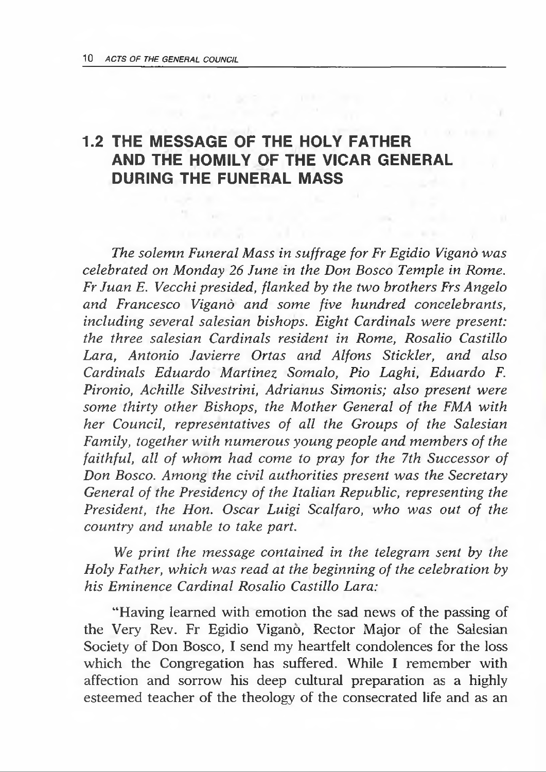#### **1.2 THE MESSAGE OF THE HOLY FATHER AND THE HOMILY OF THE VICAR GENERAL DURING THE FUNERAL MASS**

*The solemn Funeral Mass in suffrage for Fr Egidio Vigand was celebrated on Monday 26 June in the Don Bosco Temple in Rome. Fr Juan E. Vecchi presided, flanked by the two brothers Frs Angelo and Francesco Vigand and some five hundred concelebrants, including several salesian bishops. Eight Cardinals were present: the three salesian Cardinals resident in Rome, Rosalio Castillo Lara, Antonio Javierre Ortas and Alfons Stickler, and also Cardinals Eduardo Martinez Somalo, Pio Laghi, Eduardo F. Pironio, Achille Silvestrini, Adrianus Simonis; also present were some thirty other Bishops, the Mother General of the FMA with her Council, representatives of all the Groups of the Salesian Family, together with numerous young people and members of the faithful, all of whom had come to pray for the 7th Successor of Don Bosco. Among the civil authorities present was the Secretary General of the Presidency of the Italian Republic, representing the President, the Hon. Oscar Luigi Scalfaro, who was out of the country and unable to take part.*

*We print the message contained in the telegram sent by the Holy Father, which was read at the beginning of the celebration by his Eminence Cardinal Rosalio Castillo Lara:*

"Having learned with emotion the sad news of the passing of the Very Rev. Fr Egidio Vigano, Rector Major of the Salesian Society of Don Bosco, I send my heartfelt condolences for the loss which the Congregation has suffered. While I remember with affection and sorrow his deep cultural preparation as a highly esteemed teacher of the theology of the consecrated life and as an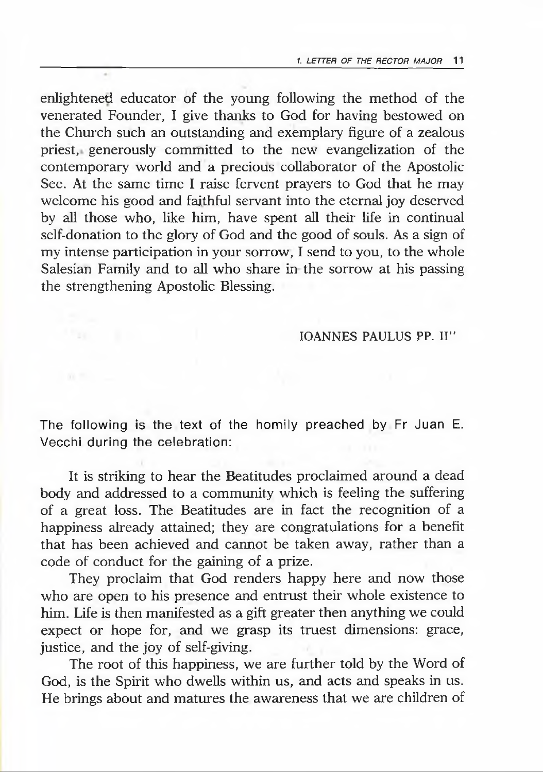enlightened educator of the young following the method of the venerated Founder, I give thanks to God for having bestowed on the Church such an outstanding and exemplary figure of a zealous priest, generously committed to the new evangelization of the contemporary world and a precious collaborator of the Apostolic See. At the same time I raise fervent prayers to God that he may welcome his good and faithful servant into the eternal joy deserved by all those who, like him, have spent all their life in continual self-donation to the glory of God and the good of souls. As a sign of my intense participation in your sorrow, I send to you, to the whole Salesian Family and to all who share in the sorrow at his passing the strengthening Apostolic Blessing.

#### IOANNES PAULUS PP. II"

The following is the text of the homily preached by Fr Juan E. Vecchi during the celebration:

It is striking to hear the Beatitudes proclaimed around a dead body and addressed to a community which is feeling the suffering of a great loss. The Beatitudes are in fact the recognition of a happiness already attained; they are congratulations for a benefit that has been achieved and cannot be taken away, rather than a code of conduct for the gaining of a prize.

They proclaim that God renders happy here and now those who are open to his presence and entrust their whole existence to him. Life is then manifested as a gift greater then anything we could expect or hope for, and we grasp its truest dimensions: grace, justice, and the joy of self-giving.

The root of this happiness, we are further told by the Word of God, is the Spirit who dwells within us, and acts and speaks in us. He brings about and matures the awareness that we are children of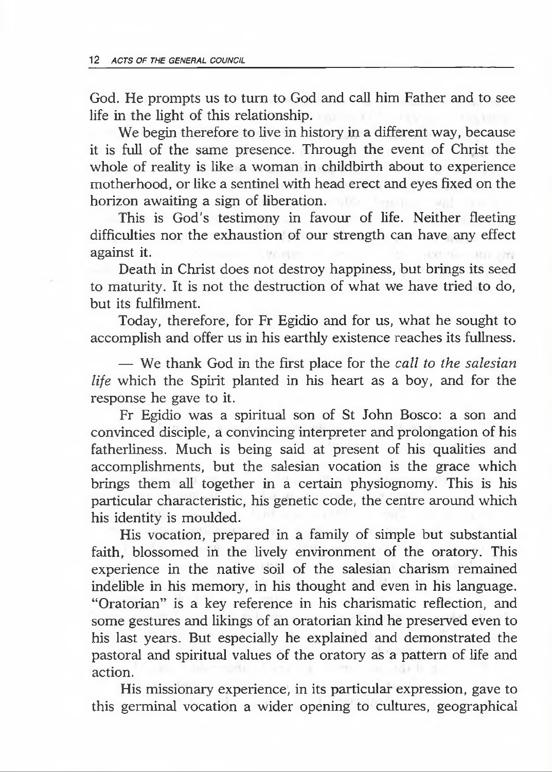God. He prompts us to turn to God and call him Father and to see life in the light of this relationship.

We begin therefore to live in history in a different way, because it is full of the same presence. Through the event of Christ the whole of reality is like a woman in childbirth about to experience motherhood, or like a sentinel with head erect and eyes fixed on the horizon awaiting a sign of liberation.

This is God's testimony in favour of life. Neither fleeting difficulties nor the exhaustion of our strength can have any effect against it.

Death in Christ does not destroy happiness, but brings its seed to maturity. It is not the destruction of what we have tried to do, but its fulfilment.

Today, therefore, for Fr Egidio and for us, what he sought to accomplish and offer us in his earthly existence reaches its fullness.

— We thank God in the first place for the *call to the salesian life* which the Spirit planted in his heart as a boy, and for the response he gave to it.

Fr Egidio was a spiritual son of St John Bosco: a son and convinced disciple, a convincing interpreter and prolongation of his fatherliness. Much is being said at present of his qualities and accomplishments, but the salesian vocation is the grace which brings them all together in a certain physiognomy. This is his particular characteristic, his genetic code, the centre around which his identity is moulded.

His vocation, prepared in a family of simple but substantial faith, blossomed in the lively environment of the oratory. This experience in the native soil of the salesian charism remained indelible in his memory, in his thought and even in his language. "Oratorian" is a key reference in his charismatic reflection, and some gestures and likings of an oratorian kind he preserved even to his last years. But especially he explained and demonstrated the pastoral and spiritual values of the oratory as a pattern of life and action.

His missionary experience, in its particular expression, gave to this germinal vocation a wider opening to cultures, geographical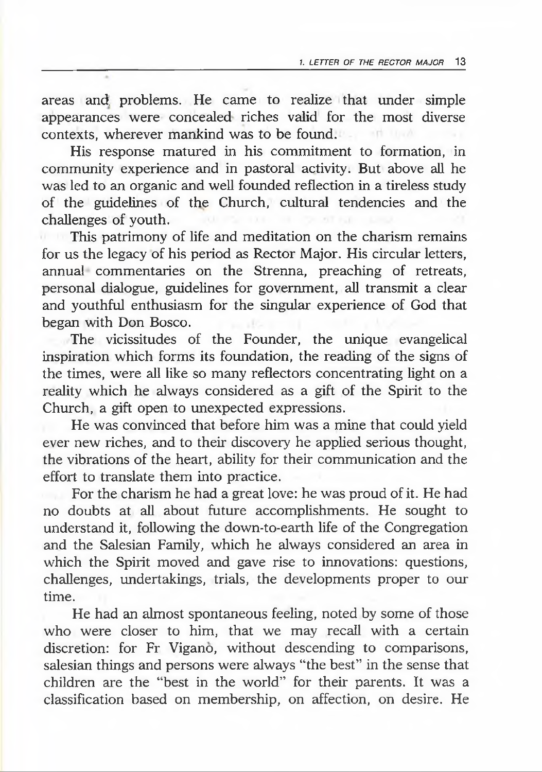areas and, problems. He came to realize that under simple appearances were concealed riches valid for the most diverse contexts, wherever mankind was to be found.

His response matured in his commitment to formation, in community experience and in pastoral activity. But above all he was led to an organic and well founded reflection in a tireless study of the guidelines of the Church, cultural tendencies and the challenges of youth.

**This patrimony of life and meditation on the charism remains** for us the legacy of his period as Rector Major. His circular letters, annual commentaries on the Strenna, preaching of retreats, personal dialogue, guidelines for government, all transmit a clear and youthful enthusiasm for the singular experience of God that began with Don Bosco.

The vicissitudes of the Founder, the unique evangelical inspiration which forms its foundation, the reading of the signs of the times, were all like so many reflectors concentrating light on a reality which he always considered as a gift of the Spirit to the Church, a gift open to unexpected expressions.

He was convinced that before him was a mine that could yield ever new riches, and to their discovery he applied serious thought, the vibrations of the heart, ability for their communication and the effort to translate them into practice.

For the charism he had a great love: he was proud of it. He had no doubts at all about future accomplishments. He sought to understand it, following the down-to-earth life of the Congregation and the Salesian Family, which he always considered an area in which the Spirit moved and gave rise to innovations: questions, challenges, undertakings, trials, the developments proper to our time.

He had an almost spontaneous feeling, noted by some of those who were closer to him, that we may recall with a certain discretion: for Fr Vigano, without descending to comparisons, salesian things and persons were always "the best" in the sense that children are the "best in the world" for their parents. It was a classification based on membership, on affection, on desire. He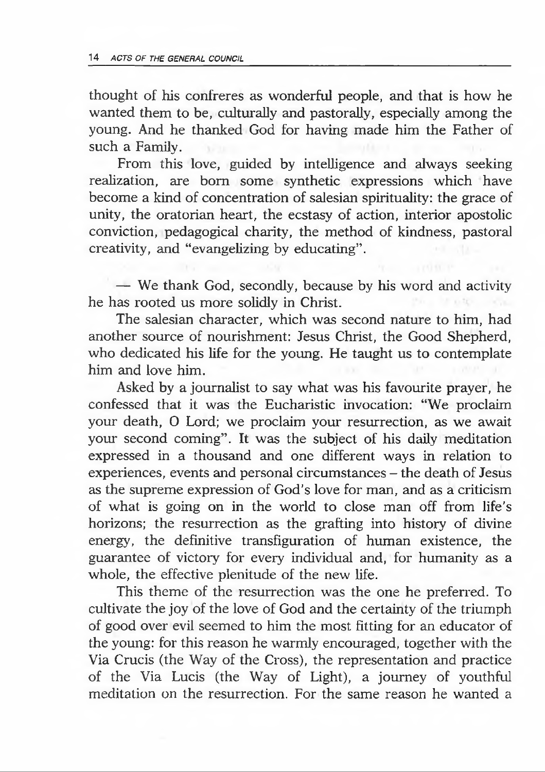thought of his confreres as wonderful people, and that is how he wanted them to be, culturally and pastorally, especially among the young. And he thanked God for having made him the Father of such a Family.

From this love, guided by intelligence and always seeking realization, are bom some synthetic expressions which have become a kind of concentration of salesian spirituality: the grace of unity, the oratorian heart, the ecstasy of action, interior apostolic conviction, pedagogical charity, the method of kindness, pastoral creativity, and "evangelizing by educating".

— We thank God, secondly, because by his word and activity he has rooted us more solidly in Christ.

The salesian character, which was second nature to him, had another source of nourishment: Jesus Christ, the Good Shepherd, who dedicated his life for the young. He taught us to contemplate him and love him.

Asked by a journalist to say what was his favourite prayer, he confessed that it was the Eucharistic invocation: "We proclaim your death, O Lord; we proclaim your resurrection, as we await your second coming". It was the subject of his daily meditation expressed in a thousand and one different ways in relation to experiences, events and personal circumstances – the death of Jesus as the supreme expression of God's love for man, and as a criticism of what is going on in the world to close man off from life's horizons; the resurrection as the grafting into history of divine energy, the definitive transfiguration of human existence, the guarantee of victory for every individual and, for humanity as a whole, the effective plenitude of the new life.

This theme of the resurrection was the one he preferred. To cultivate the joy of the love of God and the certainty of the triumph of good over evil seemed to him the most fitting for an educator of the young: for this reason he warmly encouraged, together with the Via Crucis (the Way of the Cross), the representation and practice of the Via Lucis (the Way of Light), a journey of youthful meditation on the resurrection. For the same reason he wanted a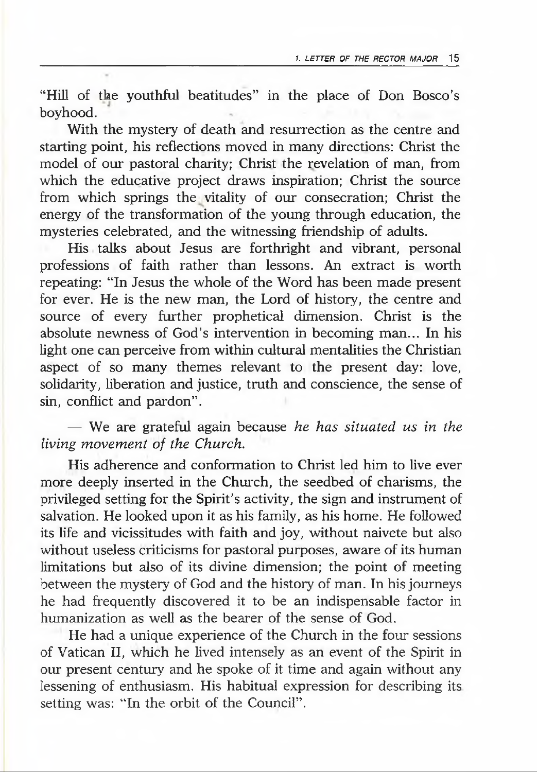"Hill of the youthful beatitudes" in the place of Don Bosco's boyhood.

With the mystery of death and resurrection as the centre and starting point, his reflections moved in many directions: Christ the model of our pastoral charity; Christ the revelation of man, from which the educative project draws inspiration; Christ the source from which springs the vitality of our consecration; Christ the energy of the transformation of the young through education, the mysteries celebrated, and the witnessing friendship of adults.

His talks about Jesus are forthright and vibrant, personal professions of faith rather than lessons. An extract is worth repeating: "In Jesus the whole of the Word has been made present for ever. He is the new man, the Lord of history, the centre and source of every further prophetical dimension. Christ is the absolute newness of God's intervention in becoming man... In his light one can perceive from within cultural mentalities the Christian aspect of so many themes relevant to the present day: love, solidarity, liberation and justice, truth and conscience, the sense of sin, conflict and pardon".

— We are grateful again because *he has situated us in the living movement of the Church.*

His adherence and conformation to Christ led him to live ever more deeply inserted in the Church, the seedbed of charisms, the privileged setting for the Spirit's activity, the sign and instrument of salvation. He looked upon it as his family, as his home. He followed its life and vicissitudes with faith and joy, without naivete but also without useless criticisms for pastoral purposes, aware of its human limitations but also of its divine dimension; the point of meeting between the mystery of God and the history of man. In his journeys he had frequently discovered it to be an indispensable factor in humanization as well as the bearer of the sense of God.

He had a unique experience of the Church in the four sessions of Vatican II, which he lived intensely as an event of the Spirit in our present century and he spoke of it time and again without any lessening of enthusiasm. His habitual expression for describing its setting was: "In the orbit of the Council".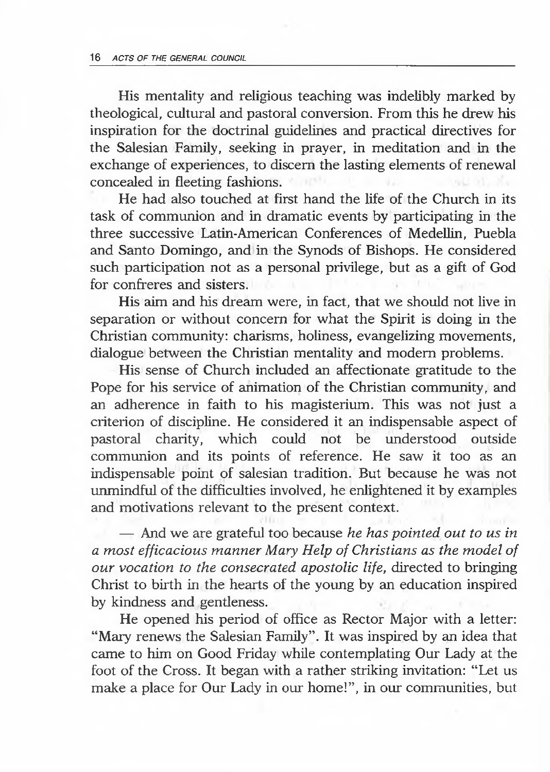His mentality and religious teaching was indelibly marked by theological, cultural and pastoral conversion. From this he drew his inspiration for the doctrinal guidelines and practical directives for the Salesian Family, seeking in prayer, in meditation and in the exchange of experiences, to discern the lasting elements of renewal concealed in fleeting fashions.

He had also touched at first hand the life of the Church in its task of communion and in dramatic events by participating in the three successive Latin-American Conferences of Medellin, Puebla and Santo Domingo, and in the Synods of Bishops. He considered such participation not as a personal privilege, but as a gift of God for confreres and sisters.

His aim and his dream were, in fact, that we should not live in separation or without concern for what the Spirit is doing in the Christian community: charisms, holiness, evangelizing movements, dialogue between the Christian mentality and modem problems.

His sense of Church included an affectionate gratitude to the Pope for his service of animation of the Christian community, and an adherence in faith to his magisterium. This was not just a criterion of discipline. He considered it an indispensable aspect of pastoral charity, which could not be understood outside communion and its points of reference. He saw it too as an indispensable point of salesian tradition. But because he was not unmindful of the difficulties involved, he enlightened it by examples and motivations relevant to the present context.

— And we are grateful too because *he has pointed out to us in a most efficacious manner Mary Help of Christians as the model of our vocation to the consecrated apostolic life,* directed to bringing Christ to birth in the hearts of the young by an education inspired by kindness and gentleness.

He opened his period of office as Rector Major with a letter: "Mary renews the Salesian Family". It was inspired by an idea that came to him on Good Friday while contemplating Our Lady at the foot of the Cross. It began with a rather striking invitation: "Let us make a place for Our Lady in our home!", in our communities, but